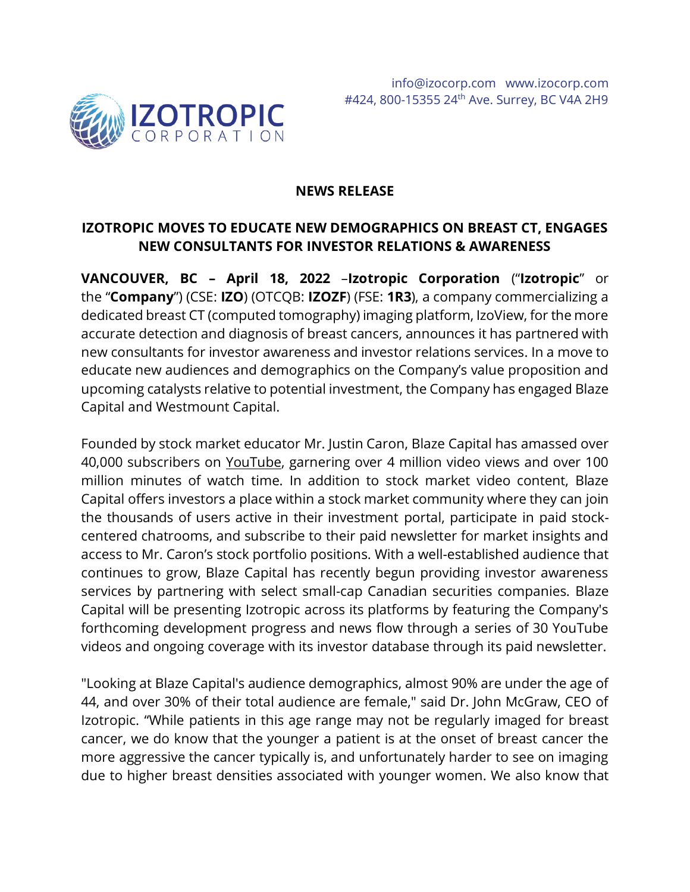

### **NEWS RELEASE**

# **IZOTROPIC MOVES TO EDUCATE NEW DEMOGRAPHICS ON BREAST CT, ENGAGES NEW CONSULTANTS FOR INVESTOR RELATIONS & AWARENESS**

**VANCOUVER, BC – April 18, 2022** –**Izotropic Corporation** ("**Izotropic**" or the "**Company**") (CSE: **IZO**) (OTCQB: **IZOZF**) (FSE: **1R3**), a company commercializing a dedicated breast CT (computed tomography) imaging platform, IzoView, for the more accurate detection and diagnosis of breast cancers, announces it has partnered with new consultants for investor awareness and investor relations services. In a move to educate new audiences and demographics on the Company's value proposition and upcoming catalysts relative to potential investment, the Company has engaged Blaze Capital and Westmount Capital.

Founded by stock market educator Mr. Justin Caron, Blaze Capital has amassed over 40,000 subscribers on [YouTube,](https://www.youtube.com/c/blazecapital) garnering over 4 million video views and over 100 million minutes of watch time. In addition to stock market video content, Blaze Capital offers investors a place within a stock market community where they can join the thousands of users active in their investment portal, participate in paid stockcentered chatrooms, and subscribe to their paid newsletter for market insights and access to Mr. Caron's stock portfolio positions. With a well-established audience that continues to grow, Blaze Capital has recently begun providing investor awareness services by partnering with select small-cap Canadian securities companies. Blaze Capital will be presenting Izotropic across its platforms by featuring the Company's forthcoming development progress and news flow through a series of 30 YouTube videos and ongoing coverage with its investor database through its paid newsletter.

"Looking at Blaze Capital's audience demographics, almost 90% are under the age of 44, and over 30% of their total audience are female," said Dr. John McGraw, CEO of Izotropic. "While patients in this age range may not be regularly imaged for breast cancer, we do know that the younger a patient is at the onset of breast cancer the more aggressive the cancer typically is, and unfortunately harder to see on imaging due to higher breast densities associated with younger women. We also know that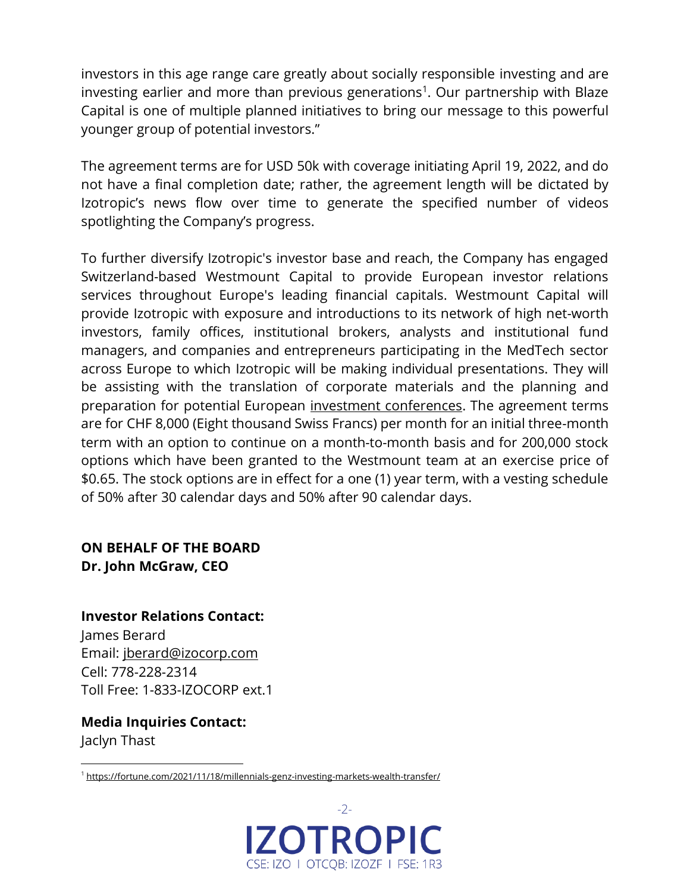investors in this age range care greatly about socially responsible investing and are investing earlier and more than previous generations<sup>1</sup>. Our partnership with Blaze Capital is one of multiple planned initiatives to bring our message to this powerful younger group of potential investors."

The agreement terms are for USD 50k with coverage initiating April 19, 2022, and do not have a final completion date; rather, the agreement length will be dictated by Izotropic's news flow over time to generate the specified number of videos spotlighting the Company's progress.

To further diversify Izotropic's investor base and reach, the Company has engaged Switzerland-based Westmount Capital to provide European investor relations services throughout Europe's leading financial capitals. Westmount Capital will provide Izotropic with exposure and introductions to its network of high net-worth investors, family offices, institutional brokers, analysts and institutional fund managers, and companies and entrepreneurs participating in the MedTech sector across Europe to which Izotropic will be making individual presentations. They will be assisting with the translation of corporate materials and the planning and preparation for potential European [investment conferences.](https://izocorp.com/news-releases/izotropic-announces-investor-conference-schedule/) The agreement terms are for CHF 8,000 (Eight thousand Swiss Francs) per month for an initial three-month term with an option to continue on a month-to-month basis and for 200,000 stock options which have been granted to the Westmount team at an exercise price of \$0.65. The stock options are in effect for a one (1) year term, with a vesting schedule of 50% after 30 calendar days and 50% after 90 calendar days.

## **ON BEHALF OF THE BOARD Dr. John McGraw, CEO**

**Investor Relations Contact:**

James Berard Email: [jberard@izocorp.com](mailto:jberard@izocorp.com) Cell: 778-228-2314 Toll Free: 1-833-IZOCORP ext.1

**Media Inquiries Contact:** Jaclyn Thast

<sup>1</sup> <https://fortune.com/2021/11/18/millennials-genz-investing-markets-wealth-transfer/>

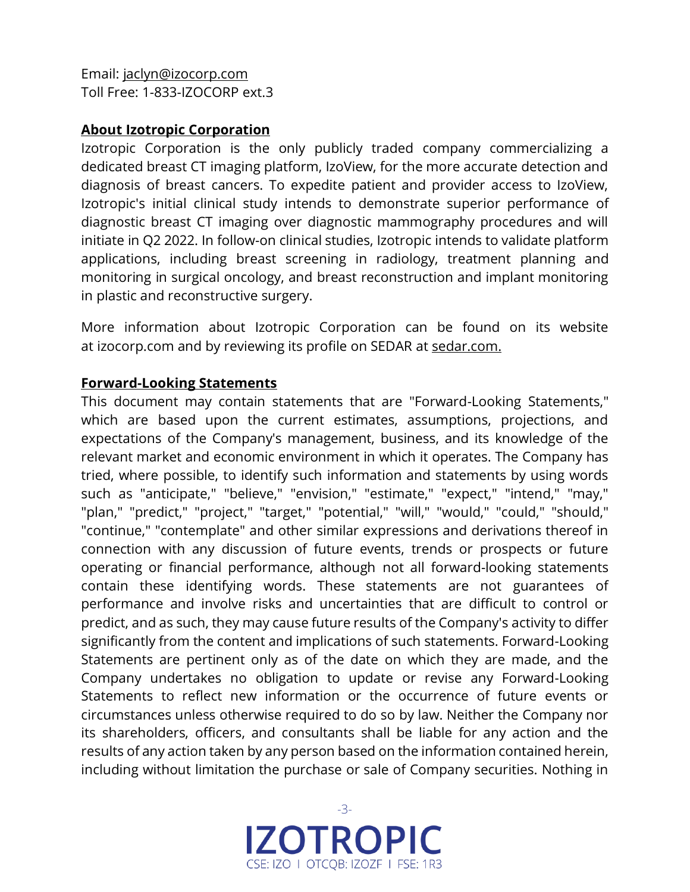Email: [jaclyn@izocorp.com](mailto:jaclyn@izocorp.com) Toll Free: 1-833-IZOCORP ext.3

### **About Izotropic Corporation**

Izotropic Corporation is the only publicly traded company commercializing a dedicated breast CT imaging platform, IzoView, for the more accurate detection and diagnosis of breast cancers. To expedite patient and provider access to IzoView, Izotropic's initial clinical study intends to demonstrate superior performance of diagnostic breast CT imaging over diagnostic mammography procedures and will initiate in Q2 2022. In follow-on clinical studies, Izotropic intends to validate platform applications, including breast screening in radiology, treatment planning and monitoring in surgical oncology, and breast reconstruction and implant monitoring in plastic and reconstructive surgery.

More information about Izotropic Corporation can be found on its website at [izocorp.com](https://izocorp.com/) and by reviewing its profile on SEDAR at [sedar.com.](https://www.sedar.com/DisplayProfile.do?lang=EN&issuerType=03&issuerNo=00044761)

### **Forward-Looking Statements**

This document may contain statements that are "Forward-Looking Statements," which are based upon the current estimates, assumptions, projections, and expectations of the Company's management, business, and its knowledge of the relevant market and economic environment in which it operates. The Company has tried, where possible, to identify such information and statements by using words such as "anticipate," "believe," "envision," "estimate," "expect," "intend," "may," "plan," "predict," "project," "target," "potential," "will," "would," "could," "should," "continue," "contemplate" and other similar expressions and derivations thereof in connection with any discussion of future events, trends or prospects or future operating or financial performance, although not all forward-looking statements contain these identifying words. These statements are not guarantees of performance and involve risks and uncertainties that are difficult to control or predict, and as such, they may cause future results of the Company's activity to differ significantly from the content and implications of such statements. Forward-Looking Statements are pertinent only as of the date on which they are made, and the Company undertakes no obligation to update or revise any Forward-Looking Statements to reflect new information or the occurrence of future events or circumstances unless otherwise required to do so by law. Neither the Company nor its shareholders, officers, and consultants shall be liable for any action and the results of any action taken by any person based on the information contained herein, including without limitation the purchase or sale of Company securities. Nothing in